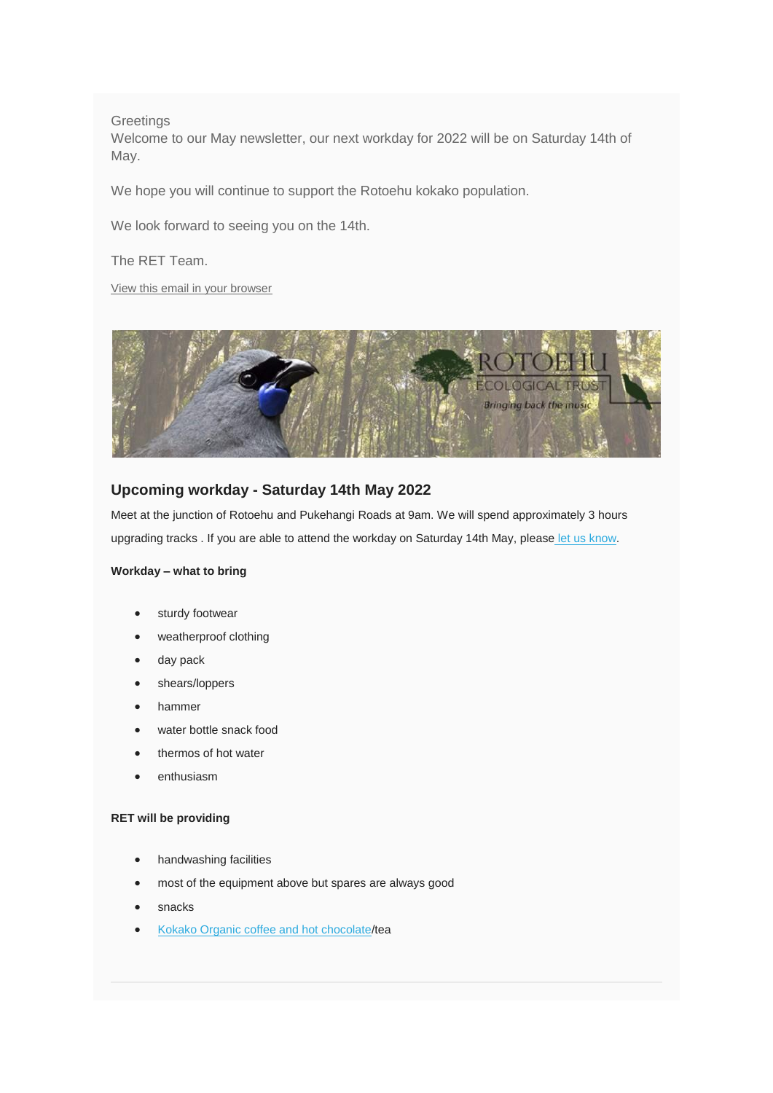**Greetings** 

Welcome to our May newsletter, our next workday for 2022 will be on Saturday 14th of May.

We hope you will continue to support the Rotoehu kokako population.

We look forward to seeing you on the 14th.

The RET Team.

[View this email in your browser](https://mailchi.mp/ac8865a3d111/rets-may-2022-newsletter?e=18d5dc1cb6)



## **Upcoming workday - Saturday 14th May 2022**

Meet at the junction of Rotoehu and Pukehangi Roads at 9am. We will spend approximately 3 hours upgrading tracks . If you are able to attend the workday on Saturday 14th May, please let us [know.](mailto:volunteer@kokako.kiwi?subject=I%27m%20available%2014th%20May)

### **Workday – what to bring**

- sturdy footwear
- weatherproof clothing
- day pack
- shears/loppers
- hammer
- water bottle snack food
- thermos of hot water
- enthusiasm

## **RET will be providing**

- handwashing facilities
- most of the equipment above but spares are always good
- snacks
- [Kokako Organic coffee and hot chocolate/](https://www.kokako.co.nz/)tea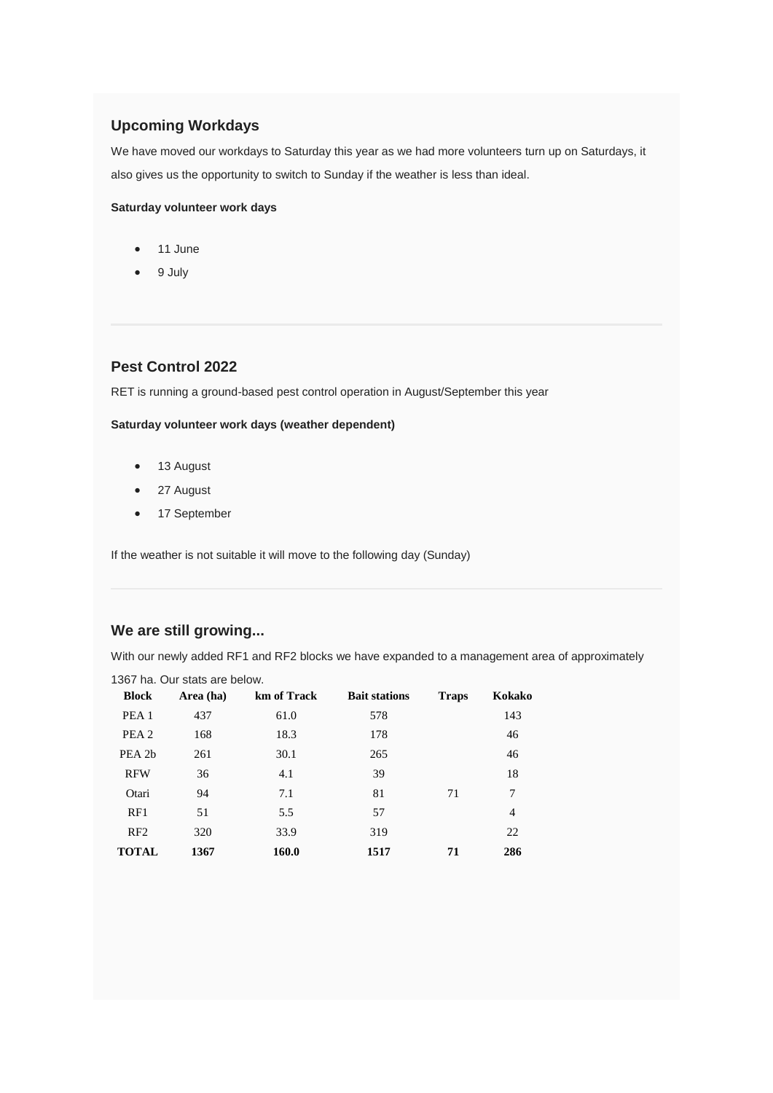## **Upcoming Workdays**

We have moved our workdays to Saturday this year as we had more volunteers turn up on Saturdays, it also gives us the opportunity to switch to Sunday if the weather is less than ideal.

## **Saturday volunteer work days**

- $\bullet$  11 June
- 9 July

# **Pest Control 2022**

RET is running a ground-based pest control operation in August/September this year

**Saturday volunteer work days (weather dependent)**

- 13 August
- 27 August
- 17 September

If the weather is not suitable it will move to the following day (Sunday)

## **We are still growing...**

 $13671 \quad \circ \quad \circ \quad \circ \quad \circ \quad \circ \quad \circ \quad \circ \quad \circ$ 

With our newly added RF1 and RF2 blocks we have expanded to a management area of approximately

| <b>Block</b>      | Area (ha) | km of Track | <b>Bait stations</b> | <b>Traps</b> | Kokako         |
|-------------------|-----------|-------------|----------------------|--------------|----------------|
| PEA <sub>1</sub>  | 437       | 61.0        | 578                  |              | 143            |
| PEA <sub>2</sub>  | 168       | 18.3        | 178                  |              | 46             |
| PEA <sub>2b</sub> | 261       | 30.1        | 265                  |              | 46             |
| <b>RFW</b>        | 36        | 4.1         | 39                   |              | 18             |
| Otari             | 94        | 7.1         | 81                   | 71           | 7              |
| RF1               | 51        | 5.5         | 57                   |              | $\overline{4}$ |
| RF2               | 320       | 33.9        | 319                  |              | 22             |
| <b>TOTAL</b>      | 1367      | 160.0       | 1517                 | 71           | 286            |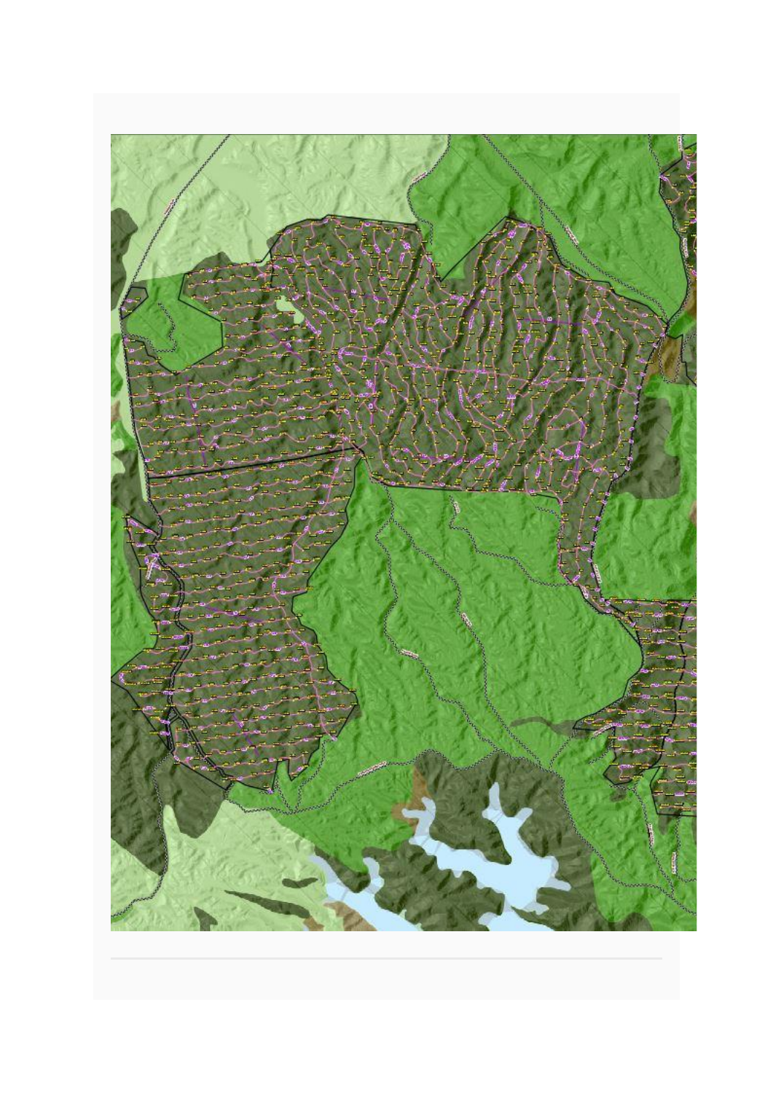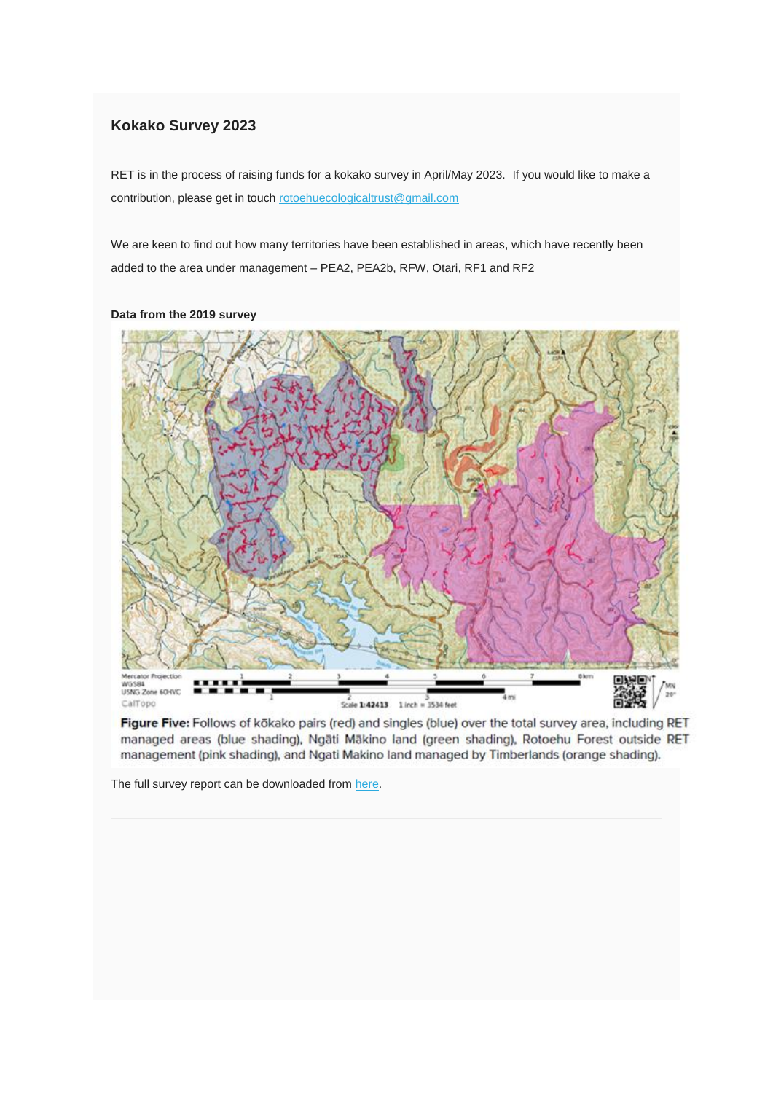## **Kokako Survey 2023**

RET is in the process of raising funds for a kokako survey in April/May 2023. If you would like to make a contribution, please get in touch [rotoehuecologicaltrust@gmail.com](mailto:rotoehuecologicaltrust@gmail.com)

We are keen to find out how many territories have been established in areas, which have recently been added to the area under management – PEA2, PEA2b, RFW, Otari, RF1 and RF2



### **Data from the 2019 survey**

Figure Five: Follows of kōkako pairs (red) and singles (blue) over the total survey area, including RET managed areas (blue shading), Ngati Makino land (green shading), Rotoehu Forest outside RET management (pink shading), and Ngati Makino land managed by Timberlands (orange shading).

The full survey report can be downloaded from [here.](https://kokako.kiwi/wp-content/uploads/sites/3/2020/03/Rotoehu_2019_Survey_Report.pdf)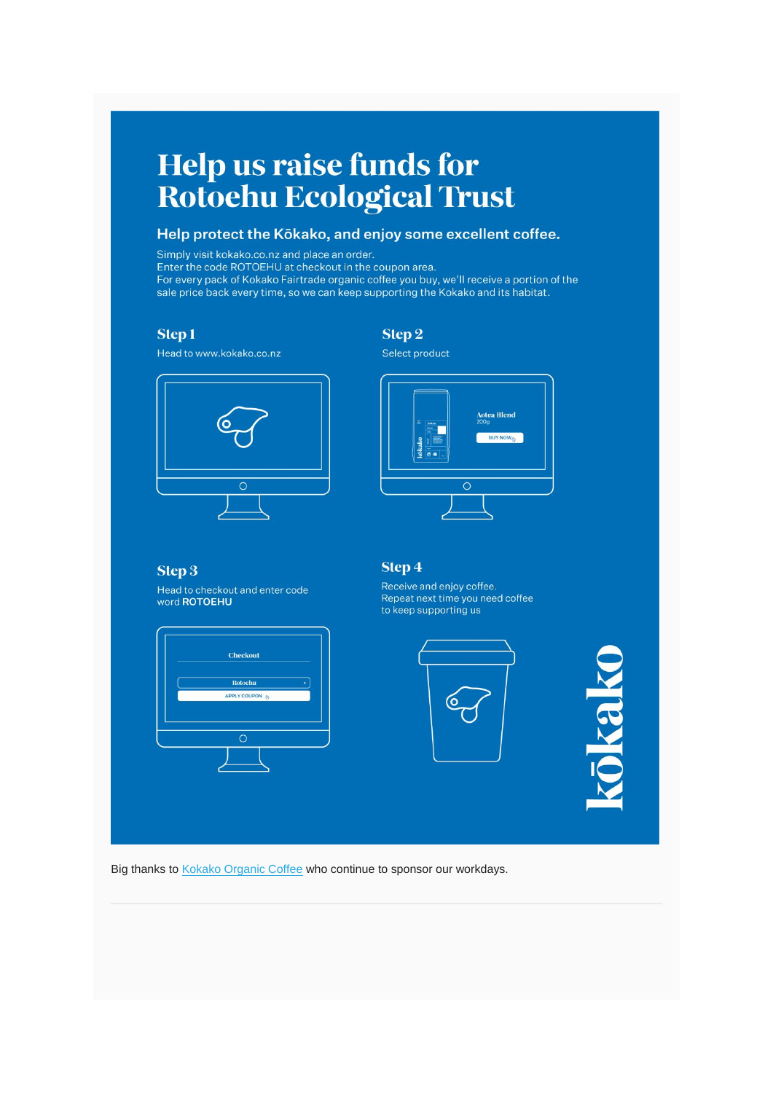# Help us raise funds for **Rotoehu Ecological Trust**

# Help protect the Kōkako, and enjoy some excellent coffee.

Simply visit kokako.co.nz and place an order.

Enter the code ROTOEHU at checkout in the coupon area.

For every pack of Kokako Fairtrade organic coffee you buy, we'll receive a portion of the sale price back every time, so we can keep supporting the Kokako and its habitat.

## Step<sub>1</sub>

## Step 2

Head to www.kokako.co.nz



Select product



## Step 3

Head to checkout and enter code word ROTOEHU



## Step 4

Receive and enjoy coffee. Repeat next time you need coffee<br>to keep supporting us



# **125**

Big thanks to Kokako Organic Coffee who continue to sponsor our workdays.